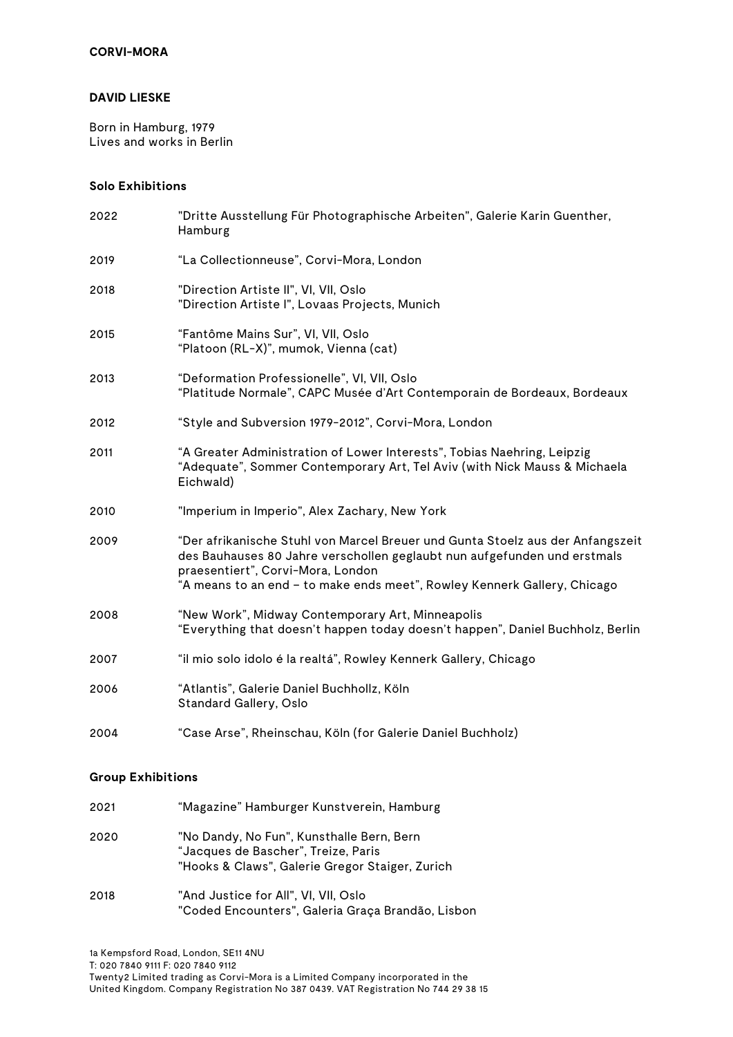#### **DAVID LIESKE**

Born in Hamburg, 1979 Lives and works in Berlin

# **Solo Exhibitions**

| 2022 | "Dritte Ausstellung Für Photographische Arbeiten", Galerie Karin Guenther,<br>Hamburg                                                                                                                                                                                       |
|------|-----------------------------------------------------------------------------------------------------------------------------------------------------------------------------------------------------------------------------------------------------------------------------|
| 2019 | "La Collectionneuse", Corvi-Mora, London                                                                                                                                                                                                                                    |
| 2018 | "Direction Artiste II", VI, VII, Oslo<br>"Direction Artiste I", Lovaas Projects, Munich                                                                                                                                                                                     |
| 2015 | "Fantôme Mains Sur", VI, VII, Oslo<br>"Platoon (RL-X)", mumok, Vienna (cat)                                                                                                                                                                                                 |
| 2013 | "Deformation Professionelle", VI, VII, Oslo<br>"Platitude Normale", CAPC Musée d'Art Contemporain de Bordeaux, Bordeaux                                                                                                                                                     |
| 2012 | "Style and Subversion 1979-2012", Corvi-Mora, London                                                                                                                                                                                                                        |
| 2011 | "A Greater Administration of Lower Interests", Tobias Naehring, Leipzig<br>"Adequate", Sommer Contemporary Art, Tel Aviv (with Nick Mauss & Michaela<br>Eichwald)                                                                                                           |
| 2010 | "Imperium in Imperio", Alex Zachary, New York                                                                                                                                                                                                                               |
| 2009 | "Der afrikanische Stuhl von Marcel Breuer und Gunta Stoelz aus der Anfangszeit<br>des Bauhauses 80 Jahre verschollen geglaubt nun aufgefunden und erstmals<br>praesentiert", Corvi-Mora, London<br>"A means to an end - to make ends meet", Rowley Kennerk Gallery, Chicago |
| 2008 | "New Work", Midway Contemporary Art, Minneapolis<br>"Everything that doesn't happen today doesn't happen", Daniel Buchholz, Berlin                                                                                                                                          |
| 2007 | "il mio solo idolo é la realtá", Rowley Kennerk Gallery, Chicago                                                                                                                                                                                                            |
| 2006 | "Atlantis", Galerie Daniel Buchhollz, Köln<br>Standard Gallery, Oslo                                                                                                                                                                                                        |
| 2004 | "Case Arse", Rheinschau, Köln (for Galerie Daniel Buchholz)                                                                                                                                                                                                                 |

#### **Group Exhibitions**

| 2021 | "Magazine" Hamburger Kunstverein, Hamburg                                                                                           |
|------|-------------------------------------------------------------------------------------------------------------------------------------|
| 2020 | "No Dandy, No Fun", Kunsthalle Bern, Bern<br>"Jacques de Bascher", Treize, Paris<br>"Hooks & Claws", Galerie Gregor Staiger, Zurich |
| 2018 | "And Justice for All", VI, VII, Oslo<br>"Coded Encounters", Galeria Graça Brandão, Lisbon                                           |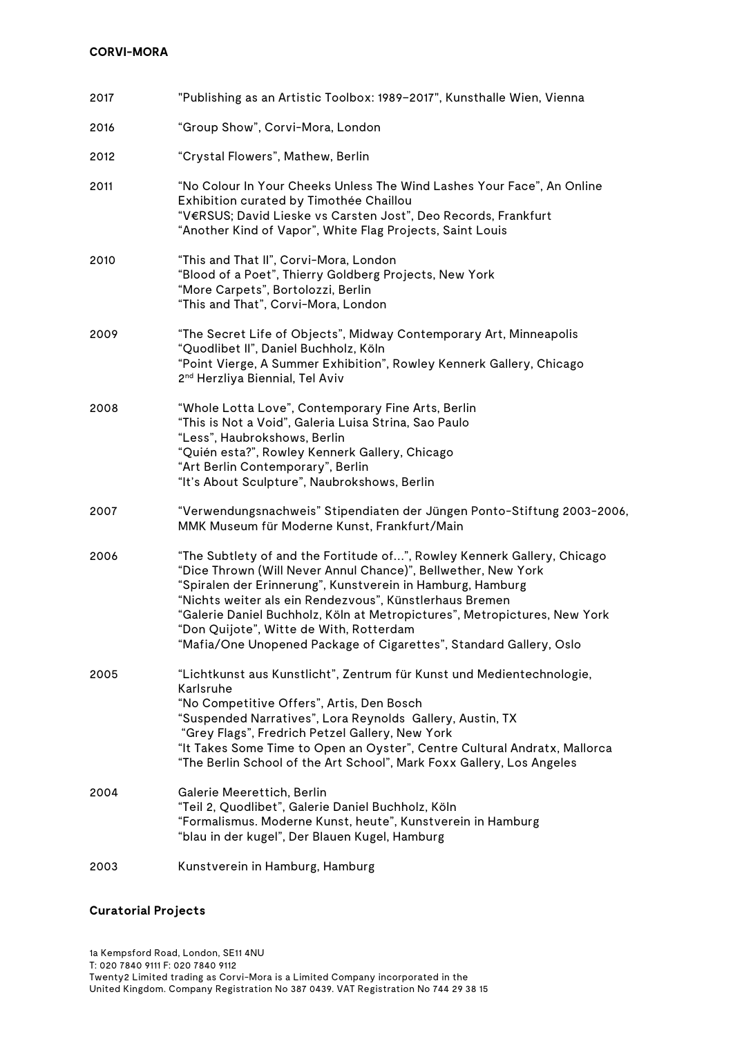| 2017 | "Publishing as an Artistic Toolbox: 1989-2017", Kunsthalle Wien, Vienna                                                                                                                                                                                                                                                                                                                                                                                         |
|------|-----------------------------------------------------------------------------------------------------------------------------------------------------------------------------------------------------------------------------------------------------------------------------------------------------------------------------------------------------------------------------------------------------------------------------------------------------------------|
| 2016 | "Group Show", Corvi-Mora, London                                                                                                                                                                                                                                                                                                                                                                                                                                |
| 2012 | "Crystal Flowers", Mathew, Berlin                                                                                                                                                                                                                                                                                                                                                                                                                               |
| 2011 | "No Colour In Your Cheeks Unless The Wind Lashes Your Face", An Online<br>Exhibition curated by Timothée Chaillou<br>"V€RSUS; David Lieske vs Carsten Jost", Deo Records, Frankfurt<br>"Another Kind of Vapor", White Flag Projects, Saint Louis                                                                                                                                                                                                                |
| 2010 | "This and That II", Corvi-Mora, London<br>"Blood of a Poet", Thierry Goldberg Projects, New York<br>"More Carpets", Bortolozzi, Berlin<br>"This and That", Corvi-Mora, London                                                                                                                                                                                                                                                                                   |
| 2009 | "The Secret Life of Objects", Midway Contemporary Art, Minneapolis<br>"Quodlibet II", Daniel Buchholz, Köln<br>"Point Vierge, A Summer Exhibition", Rowley Kennerk Gallery, Chicago<br>2 <sup>nd</sup> Herzliya Biennial, Tel Aviv                                                                                                                                                                                                                              |
| 2008 | "Whole Lotta Love", Contemporary Fine Arts, Berlin<br>"This is Not a Void", Galeria Luisa Strina, Sao Paulo<br>"Less", Haubrokshows, Berlin<br>"Quién esta?", Rowley Kennerk Gallery, Chicago<br>"Art Berlin Contemporary", Berlin<br>"It's About Sculpture", Naubrokshows, Berlin                                                                                                                                                                              |
| 2007 | "Verwendungsnachweis" Stipendiaten der Jüngen Ponto-Stiftung 2003-2006,<br>MMK Museum für Moderne Kunst, Frankfurt/Main                                                                                                                                                                                                                                                                                                                                         |
| 2006 | "The Subtlety of and the Fortitude of", Rowley Kennerk Gallery, Chicago<br>"Dice Thrown (Will Never Annul Chance)", Bellwether, New York<br>"Spiralen der Erinnerung", Kunstverein in Hamburg, Hamburg<br>"Nichts weiter als ein Rendezvous", Künstlerhaus Bremen<br>"Galerie Daniel Buchholz, Köln at Metropictures", Metropictures, New York<br>"Don Quijote", Witte de With, Rotterdam<br>"Mafia/One Unopened Package of Cigarettes", Standard Gallery, Oslo |
| 2005 | "Lichtkunst aus Kunstlicht", Zentrum für Kunst und Medientechnologie,<br>Karlsruhe<br>"No Competitive Offers", Artis, Den Bosch<br>"Suspended Narratives", Lora Reynolds Gallery, Austin, TX<br>"Grey Flags", Fredrich Petzel Gallery, New York<br>"It Takes Some Time to Open an Oyster", Centre Cultural Andratx, Mallorca<br>"The Berlin School of the Art School", Mark Foxx Gallery, Los Angeles                                                           |
| 2004 | Galerie Meerettich, Berlin<br>"Teil 2, Quodlibet", Galerie Daniel Buchholz, Köln<br>"Formalismus. Moderne Kunst, heute", Kunstverein in Hamburg<br>"blau in der kugel", Der Blauen Kugel, Hamburg                                                                                                                                                                                                                                                               |
| 2003 | Kunstverein in Hamburg, Hamburg                                                                                                                                                                                                                                                                                                                                                                                                                                 |

## **Curatorial Projects**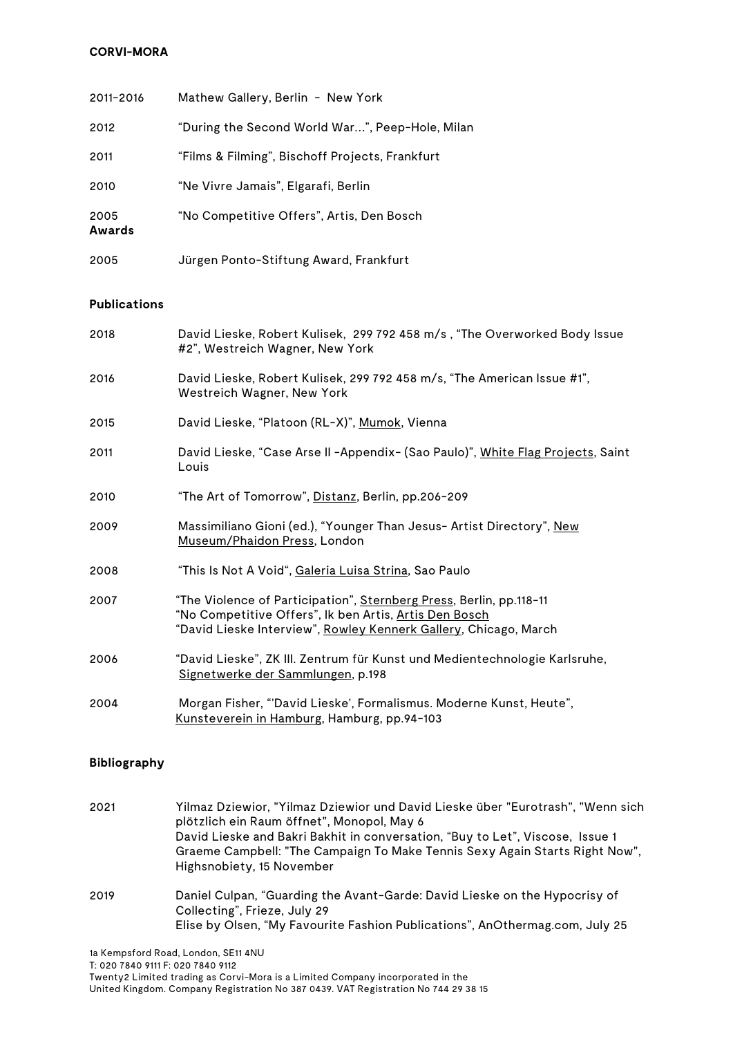| 2011-2016      | Mathew Gallery, Berlin - New York                |
|----------------|--------------------------------------------------|
| 2012           | "During the Second World War…", Peep-Hole, Milan |
| 2011           | "Films & Filming", Bischoff Projects, Frankfurt  |
| 2010           | "Ne Vivre Jamais", Elgarafi, Berlin              |
| 2005<br>Awards | "No Competitive Offers", Artis, Den Bosch        |
| 2005           | Jürgen Ponto-Stiftung Award, Frankfurt           |

#### **Publications**

| 2018 | David Lieske, Robert Kulisek, 299 792 458 m/s, "The Overworked Body Issue<br>#2", Westreich Wagner, New York                                                                                      |
|------|---------------------------------------------------------------------------------------------------------------------------------------------------------------------------------------------------|
| 2016 | David Lieske, Robert Kulisek, 299 792 458 m/s, "The American Issue #1",<br>Westreich Wagner, New York                                                                                             |
| 2015 | David Lieske, "Platoon (RL-X)", Mumok, Vienna                                                                                                                                                     |
| 2011 | David Lieske, "Case Arse II -Appendix- (Sao Paulo)", White Flag Projects, Saint<br>Louis                                                                                                          |
| 2010 | "The Art of Tomorrow", Distanz, Berlin, pp.206-209                                                                                                                                                |
| 2009 | Massimiliano Gioni (ed.), "Younger Than Jesus- Artist Directory", New<br>Museum/Phaidon Press, London                                                                                             |
| 2008 | "This Is Not A Void", Galeria Luisa Strina, Sao Paulo                                                                                                                                             |
| 2007 | "The Violence of Participation", Sternberg Press, Berlin, pp.118-11<br>"No Competitive Offers", Ik ben Artis, Artis Den Bosch<br>"David Lieske Interview", Rowley Kennerk Gallery, Chicago, March |
| 2006 | "David Lieske", ZK III. Zentrum für Kunst und Medientechnologie Karlsruhe,<br>Signetwerke der Sammlungen, p.198                                                                                   |
| 2004 | Morgan Fisher, "'David Lieske', Formalismus. Moderne Kunst, Heute",<br>Kunsteverein in Hamburg, Hamburg, pp.94-103                                                                                |

#### **Bibliography**

- 2021 Yilmaz Dziewior, "Yilmaz Dziewior und David Lieske über "Eurotrash", "Wenn sich plötzlich ein Raum öffnet", Monopol, May 6 David Lieske and Bakri Bakhit in conversation, "Buy to Let", Viscose, Issue 1 Graeme Campbell: "The Campaign To Make Tennis Sexy Again Starts Right Now", Highsnobiety, 15 November 2019 Daniel Culpan, "Guarding the Avant-Garde: David Lieske on the Hypocrisy of Collecting", Frieze, July 29
	- Elise by Olsen, "My Favourite Fashion Publications", AnOthermag.com, July 25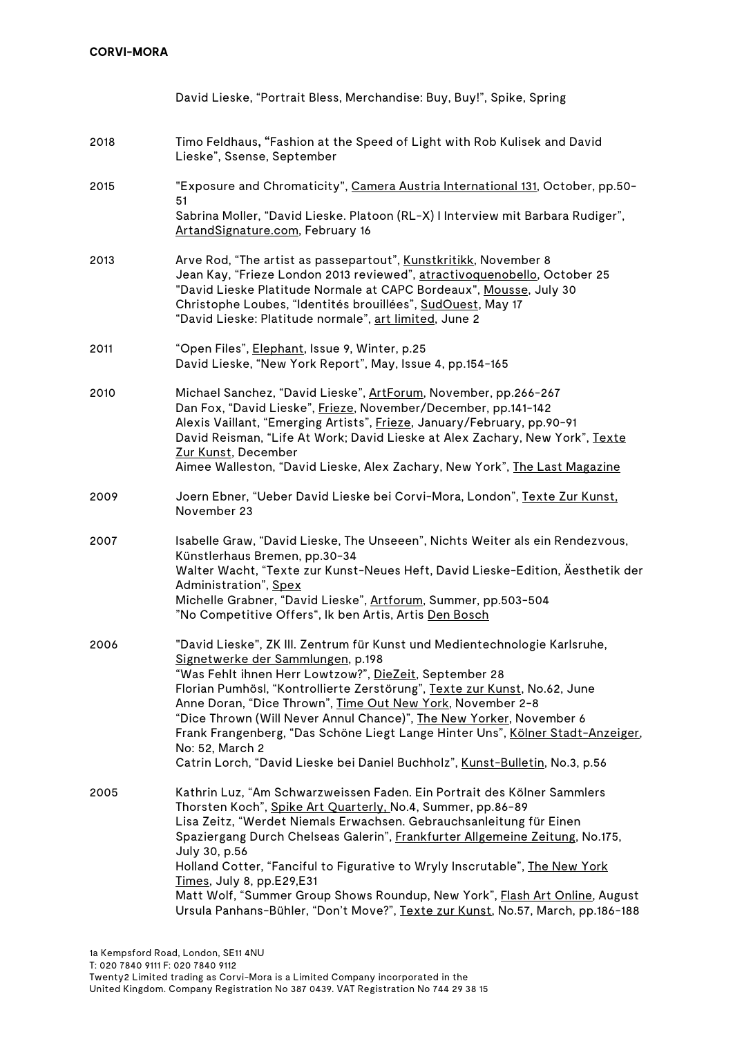|      | David Lieske, "Portrait Bless, Merchandise: Buy, Buy!", Spike, Spring                                                                                                                                                                                                                                                                                                                                                                                                                                                                                                                        |
|------|----------------------------------------------------------------------------------------------------------------------------------------------------------------------------------------------------------------------------------------------------------------------------------------------------------------------------------------------------------------------------------------------------------------------------------------------------------------------------------------------------------------------------------------------------------------------------------------------|
| 2018 | Timo Feldhaus, "Fashion at the Speed of Light with Rob Kulisek and David<br>Lieske", Ssense, September                                                                                                                                                                                                                                                                                                                                                                                                                                                                                       |
| 2015 | "Exposure and Chromaticity", Camera Austria International 131, October, pp.50-<br>51<br>Sabrina Moller, "David Lieske. Platoon (RL-X) I Interview mit Barbara Rudiger",<br>ArtandSignature.com, February 16                                                                                                                                                                                                                                                                                                                                                                                  |
| 2013 | Arve Rod, "The artist as passepartout", Kunstkritikk, November 8<br>Jean Kay, "Frieze London 2013 reviewed", atractivoquenobello, October 25<br>"David Lieske Platitude Normale at CAPC Bordeaux", Mousse, July 30<br>Christophe Loubes, "Identités brouillées", SudOuest, May 17<br>"David Lieske: Platitude normale", art limited, June 2                                                                                                                                                                                                                                                  |
| 2011 | "Open Files", Elephant, Issue 9, Winter, p.25<br>David Lieske, "New York Report", May, Issue 4, pp.154-165                                                                                                                                                                                                                                                                                                                                                                                                                                                                                   |
| 2010 | Michael Sanchez, "David Lieske", ArtForum, November, pp.266-267<br>Dan Fox, "David Lieske", Frieze, November/December, pp.141-142<br>Alexis Vaillant, "Emerging Artists", Frieze, January/February, pp.90-91<br>David Reisman, "Life At Work; David Lieske at Alex Zachary, New York", Texte<br>Zur Kunst, December<br>Aimee Walleston, "David Lieske, Alex Zachary, New York", The Last Magazine                                                                                                                                                                                            |
| 2009 | Joern Ebner, "Ueber David Lieske bei Corvi-Mora, London", Texte Zur Kunst.<br>November 23                                                                                                                                                                                                                                                                                                                                                                                                                                                                                                    |
| 2007 | Isabelle Graw, "David Lieske, The Unseeen", Nichts Weiter als ein Rendezvous,<br>Künstlerhaus Bremen, pp.30-34<br>Walter Wacht, "Texte zur Kunst-Neues Heft, David Lieske-Edition, Äesthetik der<br>Administration", Spex<br>Michelle Grabner, "David Lieske", Artforum, Summer, pp.503-504<br>"No Competitive Offers", Ik ben Artis, Artis Den Bosch                                                                                                                                                                                                                                        |
| 2006 | "David Lieske", ZK III. Zentrum für Kunst und Medientechnologie Karlsruhe,<br>Signetwerke der Sammlungen, p.198<br>"Was Fehlt ihnen Herr Lowtzow?", DieZeit, September 28<br>Florian Pumhösl, "Kontrollierte Zerstörung", Texte zur Kunst, No.62, June<br>Anne Doran, "Dice Thrown", Time Out New York, November 2-8<br>"Dice Thrown (Will Never Annul Chance)", The New Yorker, November 6<br>Frank Frangenberg, "Das Schöne Liegt Lange Hinter Uns", Kölner Stadt-Anzeiger,<br>No: 52, March 2<br>Catrin Lorch, "David Lieske bei Daniel Buchholz", Kunst-Bulletin, No.3, p.56             |
| 2005 | Kathrin Luz, "Am Schwarzweissen Faden. Ein Portrait des Kölner Sammlers<br>Thorsten Koch", Spike Art Quarterly, No.4, Summer, pp.86-89<br>Lisa Zeitz, "Werdet Niemals Erwachsen. Gebrauchsanleitung für Einen<br>Spaziergang Durch Chelseas Galerin", Frankfurter Allgemeine Zeitung, No.175,<br>July 30, p.56<br>Holland Cotter, "Fanciful to Figurative to Wryly Inscrutable", The New York<br>Times, July 8, pp.E29,E31<br>Matt Wolf, "Summer Group Shows Roundup, New York", Flash Art Online, August<br>Ursula Panhans-Bühler, "Don't Move?", Texte zur Kunst, No.57, March, pp.186-188 |